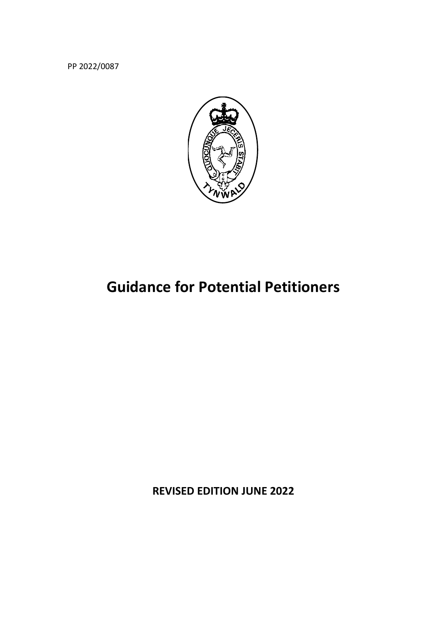PP 2022/0087



# **Guidance for Potential Petitioners**

**REVISED EDITION JUNE 2022**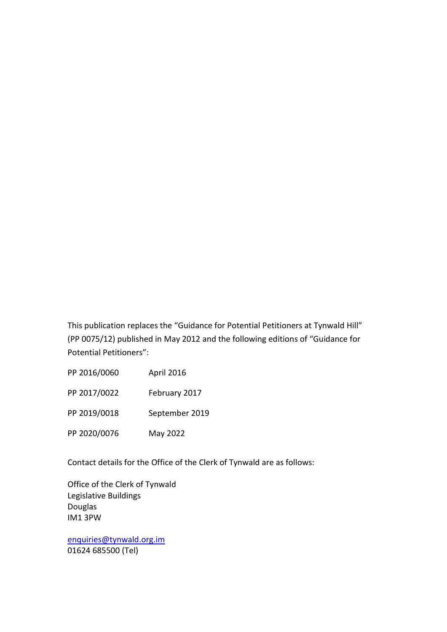This publication replaces the "Guidance for Potential Petitioners at Tynwald Hill" (PP 0075/12) published in May 2012 and the following editions of "Guidance for Potential Petitioners":

PP 2016/0060 April 2016 PP 2017/0022 February 2017 PP 2019/0018 September 2019 PP 2020/0076 May 2022

Contact details for the Office of the Clerk of Tynwald are as follows:

Office of the Clerk of Tynwald Legislative Buildings Douglas IM1 3PW

enquiries@tynwald.org.im 01624 685500 (Tel)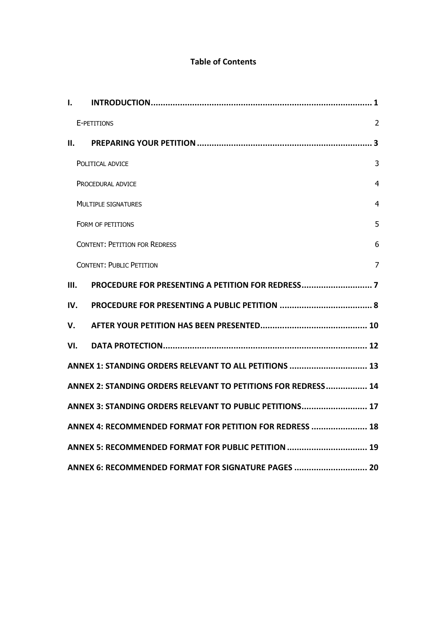## **Table of Contents**

| $\mathbf{I}$ .                                                |                                                     |                |  |  |
|---------------------------------------------------------------|-----------------------------------------------------|----------------|--|--|
|                                                               | E-PETITIONS                                         | $\overline{2}$ |  |  |
|                                                               | II.                                                 |                |  |  |
|                                                               | POLITICAL ADVICE                                    | 3              |  |  |
|                                                               | PROCEDURAL ADVICE                                   | $\overline{4}$ |  |  |
|                                                               | <b>MULTIPLE SIGNATURES</b>                          | $\overline{4}$ |  |  |
|                                                               | FORM OF PETITIONS                                   | 5              |  |  |
|                                                               | <b>CONTENT: PETITION FOR REDRESS</b>                | 6              |  |  |
|                                                               | <b>CONTENT: PUBLIC PETITION</b>                     | $\overline{7}$ |  |  |
| III.                                                          |                                                     |                |  |  |
| IV.                                                           |                                                     |                |  |  |
| v.                                                            |                                                     |                |  |  |
| VI.                                                           |                                                     |                |  |  |
| ANNEX 1: STANDING ORDERS RELEVANT TO ALL PETITIONS  13        |                                                     |                |  |  |
| ANNEX 2: STANDING ORDERS RELEVANT TO PETITIONS FOR REDRESS 14 |                                                     |                |  |  |
| ANNEX 3: STANDING ORDERS RELEVANT TO PUBLIC PETITIONS 17      |                                                     |                |  |  |
| ANNEX 4: RECOMMENDED FORMAT FOR PETITION FOR REDRESS  18      |                                                     |                |  |  |
| ANNEX 5: RECOMMENDED FORMAT FOR PUBLIC PETITION  19           |                                                     |                |  |  |
|                                                               | ANNEX 6: RECOMMENDED FORMAT FOR SIGNATURE PAGES  20 |                |  |  |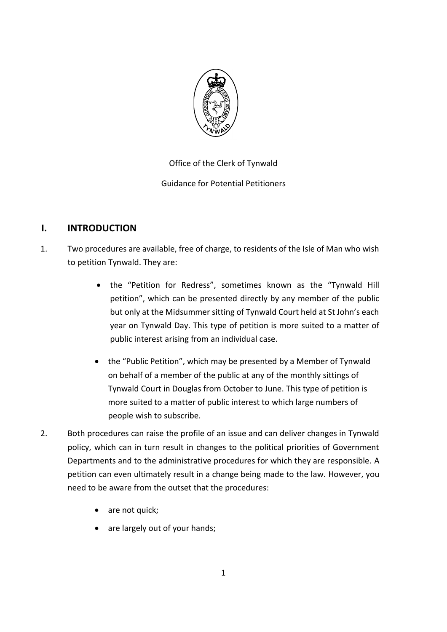

Office of the Clerk of Tynwald Guidance for Potential Petitioners

# **I. INTRODUCTION**

- 1. Two procedures are available, free of charge, to residents of the Isle of Man who wish to petition Tynwald. They are:
	- the "Petition for Redress", sometimes known as the "Tynwald Hill petition", which can be presented directly by any member of the public but only at the Midsummer sitting of Tynwald Court held at St John's each year on Tynwald Day. This type of petition is more suited to a matter of public interest arising from an individual case.
	- the "Public Petition", which may be presented by a Member of Tynwald on behalf of a member of the public at any of the monthly sittings of Tynwald Court in Douglas from October to June. This type of petition is more suited to a matter of public interest to which large numbers of people wish to subscribe.
- 2. Both procedures can raise the profile of an issue and can deliver changes in Tynwald policy, which can in turn result in changes to the political priorities of Government Departments and to the administrative procedures for which they are responsible. A petition can even ultimately result in a change being made to the law. However, you need to be aware from the outset that the procedures:
	- are not quick;
	- are largely out of your hands;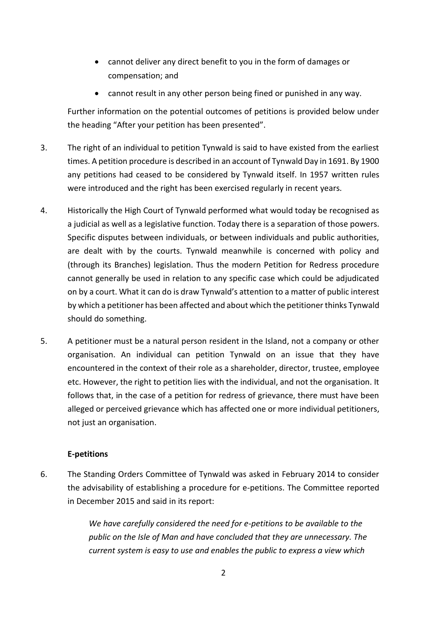- cannot deliver any direct benefit to you in the form of damages or compensation; and
- cannot result in any other person being fined or punished in any way.

Further information on the potential outcomes of petitions is provided below under the heading "After your petition has been presented".

- 3. The right of an individual to petition Tynwald is said to have existed from the earliest times. A petition procedure is described in an account of Tynwald Day in 1691. By 1900 any petitions had ceased to be considered by Tynwald itself. In 1957 written rules were introduced and the right has been exercised regularly in recent years.
- 4. Historically the High Court of Tynwald performed what would today be recognised as a judicial as well as a legislative function. Today there is a separation of those powers. Specific disputes between individuals, or between individuals and public authorities, are dealt with by the courts. Tynwald meanwhile is concerned with policy and (through its Branches) legislation. Thus the modern Petition for Redress procedure cannot generally be used in relation to any specific case which could be adjudicated on by a court. What it can do is draw Tynwald's attention to a matter of public interest by which a petitioner has been affected and about which the petitioner thinks Tynwald should do something.
- 5. A petitioner must be a natural person resident in the Island, not a company or other organisation. An individual can petition Tynwald on an issue that they have encountered in the context of their role as a shareholder, director, trustee, employee etc. However, the right to petition lies with the individual, and not the organisation. It follows that, in the case of a petition for redress of grievance, there must have been alleged or perceived grievance which has affected one or more individual petitioners, not just an organisation.

## **E-petitions**

6. The Standing Orders Committee of Tynwald was asked in February 2014 to consider the advisability of establishing a procedure for e-petitions. The Committee reported in December 2015 and said in its report:

> *We have carefully considered the need for e-petitions to be available to the public on the Isle of Man and have concluded that they are unnecessary. The current system is easy to use and enables the public to express a view which*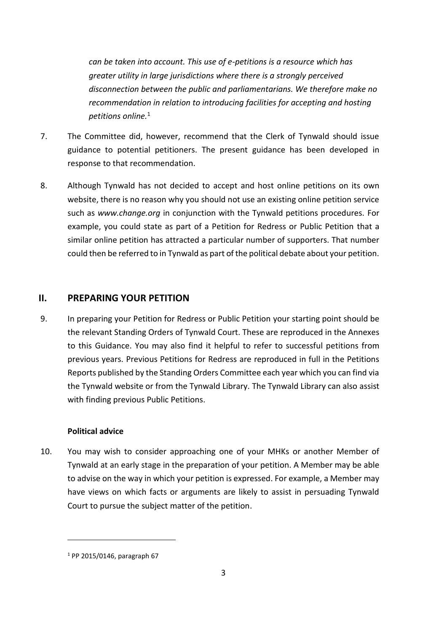*can be taken into account. This use of e-petitions is a resource which has greater utility in large jurisdictions where there is a strongly perceived disconnection between the public and parliamentarians. We therefore make no recommendation in relation to introducing facilities for accepting and hosting petitions online.*<sup>1</sup>

- 7. The Committee did, however, recommend that the Clerk of Tynwald should issue guidance to potential petitioners. The present guidance has been developed in response to that recommendation.
- 8. Although Tynwald has not decided to accept and host online petitions on its own website, there is no reason why you should not use an existing online petition service such as *www.change.org* in conjunction with the Tynwald petitions procedures. For example, you could state as part of a Petition for Redress or Public Petition that a similar online petition has attracted a particular number of supporters. That number could then be referred to in Tynwald as part of the political debate about your petition.

## **II. PREPARING YOUR PETITION**

9. In preparing your Petition for Redress or Public Petition your starting point should be the relevant Standing Orders of Tynwald Court. These are reproduced in the Annexes to this Guidance. You may also find it helpful to refer to successful petitions from previous years. Previous Petitions for Redress are reproduced in full in the Petitions Reports published by the Standing Orders Committee each year which you can find via the Tynwald website or from the Tynwald Library. The Tynwald Library can also assist with finding previous Public Petitions.

#### **Political advice**

10. You may wish to consider approaching one of your MHKs or another Member of Tynwald at an early stage in the preparation of your petition. A Member may be able to advise on the way in which your petition is expressed. For example, a Member may have views on which facts or arguments are likely to assist in persuading Tynwald Court to pursue the subject matter of the petition.

-

<sup>1</sup> PP 2015/0146, paragraph 67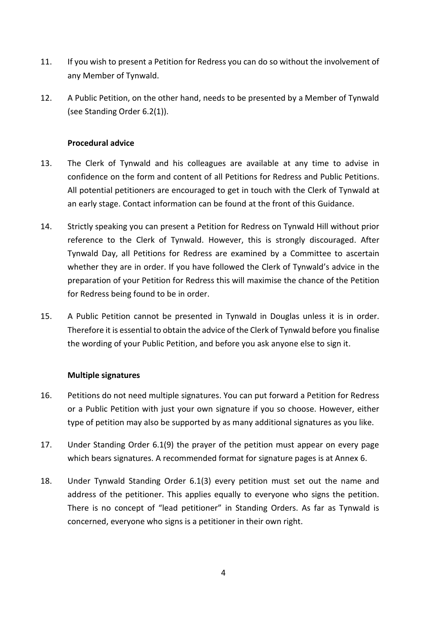- 11. If you wish to present a Petition for Redress you can do so without the involvement of any Member of Tynwald.
- 12. A Public Petition, on the other hand, needs to be presented by a Member of Tynwald (see Standing Order 6.2(1)).

#### **Procedural advice**

- 13. The Clerk of Tynwald and his colleagues are available at any time to advise in confidence on the form and content of all Petitions for Redress and Public Petitions. All potential petitioners are encouraged to get in touch with the Clerk of Tynwald at an early stage. Contact information can be found at the front of this Guidance.
- 14. Strictly speaking you can present a Petition for Redress on Tynwald Hill without prior reference to the Clerk of Tynwald. However, this is strongly discouraged. After Tynwald Day, all Petitions for Redress are examined by a Committee to ascertain whether they are in order. If you have followed the Clerk of Tynwald's advice in the preparation of your Petition for Redress this will maximise the chance of the Petition for Redress being found to be in order.
- 15. A Public Petition cannot be presented in Tynwald in Douglas unless it is in order. Therefore it is essential to obtain the advice of the Clerk of Tynwald before you finalise the wording of your Public Petition, and before you ask anyone else to sign it.

#### **Multiple signatures**

- 16. Petitions do not need multiple signatures. You can put forward a Petition for Redress or a Public Petition with just your own signature if you so choose. However, either type of petition may also be supported by as many additional signatures as you like.
- 17. Under Standing Order 6.1(9) the prayer of the petition must appear on every page which bears signatures. A recommended format for signature pages is at Annex 6.
- 18. Under Tynwald Standing Order 6.1(3) every petition must set out the name and address of the petitioner. This applies equally to everyone who signs the petition. There is no concept of "lead petitioner" in Standing Orders. As far as Tynwald is concerned, everyone who signs is a petitioner in their own right.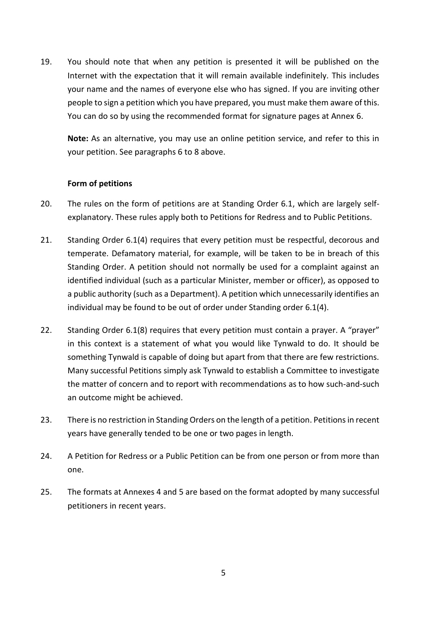19. You should note that when any petition is presented it will be published on the Internet with the expectation that it will remain available indefinitely. This includes your name and the names of everyone else who has signed. If you are inviting other people to sign a petition which you have prepared, you must make them aware of this. You can do so by using the recommended format for signature pages at Annex 6.

**Note:** As an alternative, you may use an online petition service, and refer to this in your petition. See paragraphs 6 to 8 above.

#### **Form of petitions**

- 20. The rules on the form of petitions are at Standing Order 6.1, which are largely selfexplanatory. These rules apply both to Petitions for Redress and to Public Petitions.
- 21. Standing Order 6.1(4) requires that every petition must be respectful, decorous and temperate. Defamatory material, for example, will be taken to be in breach of this Standing Order. A petition should not normally be used for a complaint against an identified individual (such as a particular Minister, member or officer), as opposed to a public authority (such as a Department). A petition which unnecessarily identifies an individual may be found to be out of order under Standing order 6.1(4).
- 22. Standing Order 6.1(8) requires that every petition must contain a prayer. A "prayer" in this context is a statement of what you would like Tynwald to do. It should be something Tynwald is capable of doing but apart from that there are few restrictions. Many successful Petitions simply ask Tynwald to establish a Committee to investigate the matter of concern and to report with recommendations as to how such-and-such an outcome might be achieved.
- 23. There is no restriction in Standing Orders on the length of a petition. Petitions in recent years have generally tended to be one or two pages in length.
- 24. A Petition for Redress or a Public Petition can be from one person or from more than one.
- 25. The formats at Annexes 4 and 5 are based on the format adopted by many successful petitioners in recent years.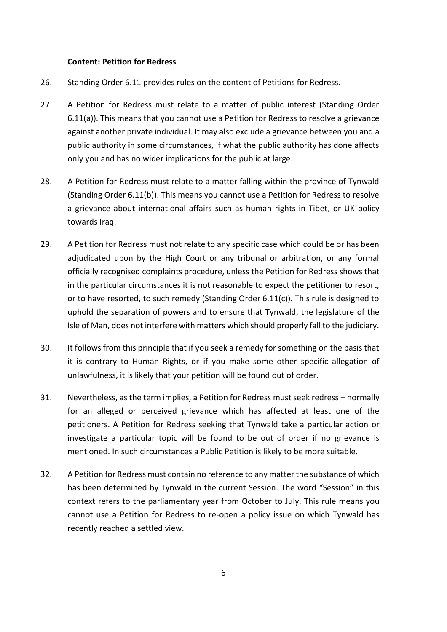#### **Content: Petition for Redress**

- 26. Standing Order 6.11 provides rules on the content of Petitions for Redress.
- 27. A Petition for Redress must relate to a matter of public interest (Standing Order 6.11(a)). This means that you cannot use a Petition for Redress to resolve a grievance against another private individual. It may also exclude a grievance between you and a public authority in some circumstances, if what the public authority has done affects only you and has no wider implications for the public at large.
- 28. A Petition for Redress must relate to a matter falling within the province of Tynwald (Standing Order 6.11(b)). This means you cannot use a Petition for Redress to resolve a grievance about international affairs such as human rights in Tibet, or UK policy towards Iraq.
- 29. A Petition for Redress must not relate to any specific case which could be or has been adjudicated upon by the High Court or any tribunal or arbitration, or any formal officially recognised complaints procedure, unless the Petition for Redress shows that in the particular circumstances it is not reasonable to expect the petitioner to resort, or to have resorted, to such remedy (Standing Order 6.11(c)). This rule is designed to uphold the separation of powers and to ensure that Tynwald, the legislature of the Isle of Man, does not interfere with matters which should properly fall to the judiciary.
- 30. It follows from this principle that if you seek a remedy for something on the basis that it is contrary to Human Rights, or if you make some other specific allegation of unlawfulness, it is likely that your petition will be found out of order.
- 31. Nevertheless, as the term implies, a Petition for Redress must seek redress normally for an alleged or perceived grievance which has affected at least one of the petitioners. A Petition for Redress seeking that Tynwald take a particular action or investigate a particular topic will be found to be out of order if no grievance is mentioned. In such circumstances a Public Petition is likely to be more suitable.
- 32. A Petition for Redress must contain no reference to any matter the substance of which has been determined by Tynwald in the current Session. The word "Session" in this context refers to the parliamentary year from October to July. This rule means you cannot use a Petition for Redress to re-open a policy issue on which Tynwald has recently reached a settled view.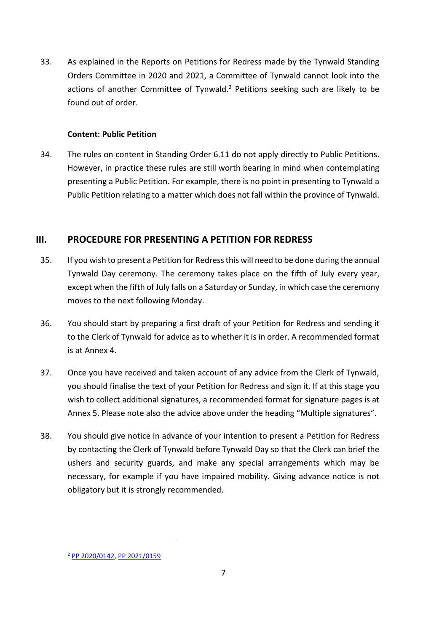33. As explained in the Reports on Petitions for Redress made by the Tynwald Standing Orders Committee in 2020 and 2021, a Committee of Tynwald cannot look into the actions of another Committee of Tynwald.<sup>2</sup> Petitions seeking such are likely to be found out of order.

#### **Content: Public Petition**

34. The rules on content in Standing Order 6.11 do not apply directly to Public Petitions. However, in practice these rules are still worth bearing in mind when contemplating presenting a Public Petition. For example, there is no point in presenting to Tynwald a Public Petition relating to a matter which does not fall within the province of Tynwald.

# **III. PROCEDURE FOR PRESENTING A PETITION FOR REDRESS**

- 35. If you wish to present a Petition for Redress this will need to be done during the annual Tynwald Day ceremony. The ceremony takes place on the fifth of July every year, except when the fifth of July falls on a Saturday or Sunday, in which case the ceremony moves to the next following Monday.
- 36. You should start by preparing a first draft of your Petition for Redress and sending it to the Clerk of Tynwald for advice as to whether it is in order. A recommended format is at Annex 4.
- 37. Once you have received and taken account of any advice from the Clerk of Tynwald, you should finalise the text of your Petition for Redress and sign it. If at this stage you wish to collect additional signatures, a recommended format for signature pages is at Annex 5. Please note also the advice above under the heading "Multiple signatures".
- 38. You should give notice in advance of your intention to present a Petition for Redress by contacting the Clerk of Tynwald before Tynwald Day so that the Clerk can brief the ushers and security guards, and make any special arrangements which may be necessary, for example if you have impaired mobility. Giving advance notice is not obligatory but it is strongly recommended.

-

<sup>2</sup> PP 2020/0142, PP 2021/0159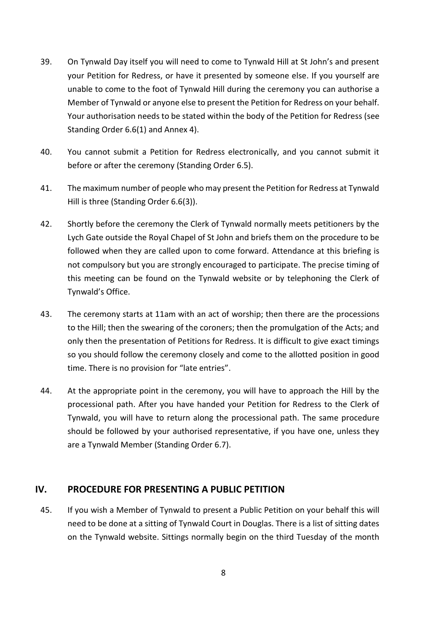- 39. On Tynwald Day itself you will need to come to Tynwald Hill at St John's and present your Petition for Redress, or have it presented by someone else. If you yourself are unable to come to the foot of Tynwald Hill during the ceremony you can authorise a Member of Tynwald or anyone else to present the Petition for Redress on your behalf. Your authorisation needs to be stated within the body of the Petition for Redress (see Standing Order 6.6(1) and Annex 4).
- 40. You cannot submit a Petition for Redress electronically, and you cannot submit it before or after the ceremony (Standing Order 6.5).
- 41. The maximum number of people who may present the Petition for Redress at Tynwald Hill is three (Standing Order 6.6(3)).
- 42. Shortly before the ceremony the Clerk of Tynwald normally meets petitioners by the Lych Gate outside the Royal Chapel of St John and briefs them on the procedure to be followed when they are called upon to come forward. Attendance at this briefing is not compulsory but you are strongly encouraged to participate. The precise timing of this meeting can be found on the Tynwald website or by telephoning the Clerk of Tynwald's Office.
- 43. The ceremony starts at 11am with an act of worship; then there are the processions to the Hill; then the swearing of the coroners; then the promulgation of the Acts; and only then the presentation of Petitions for Redress. It is difficult to give exact timings so you should follow the ceremony closely and come to the allotted position in good time. There is no provision for "late entries".
- 44. At the appropriate point in the ceremony, you will have to approach the Hill by the processional path. After you have handed your Petition for Redress to the Clerk of Tynwald, you will have to return along the processional path. The same procedure should be followed by your authorised representative, if you have one, unless they are a Tynwald Member (Standing Order 6.7).

## **IV. PROCEDURE FOR PRESENTING A PUBLIC PETITION**

45. If you wish a Member of Tynwald to present a Public Petition on your behalf this will need to be done at a sitting of Tynwald Court in Douglas. There is a list of sitting dates on the Tynwald website. Sittings normally begin on the third Tuesday of the month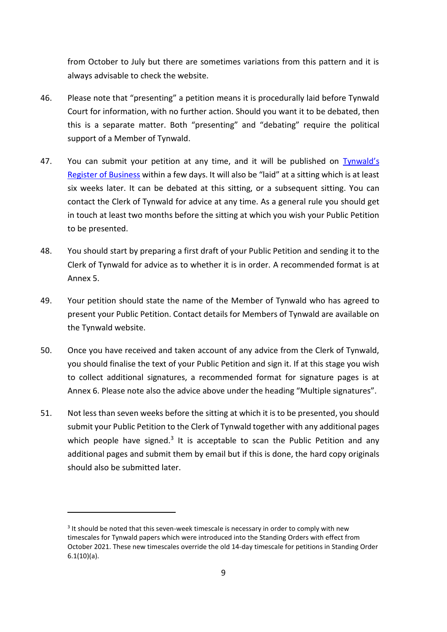from October to July but there are sometimes variations from this pattern and it is always advisable to check the website.

- 46. Please note that "presenting" a petition means it is procedurally laid before Tynwald Court for information, with no further action. Should you want it to be debated, then this is a separate matter. Both "presenting" and "debating" require the political support of a Member of Tynwald.
- 47. You can submit your petition at any time, and it will be published on Tynwald's Register of Business within a few days. It will also be "laid" at a sitting which is at least six weeks later. It can be debated at this sitting, or a subsequent sitting. You can contact the Clerk of Tynwald for advice at any time. As a general rule you should get in touch at least two months before the sitting at which you wish your Public Petition to be presented.
- 48. You should start by preparing a first draft of your Public Petition and sending it to the Clerk of Tynwald for advice as to whether it is in order. A recommended format is at Annex 5.
- 49. Your petition should state the name of the Member of Tynwald who has agreed to present your Public Petition. Contact details for Members of Tynwald are available on the Tynwald website.
- 50. Once you have received and taken account of any advice from the Clerk of Tynwald, you should finalise the text of your Public Petition and sign it. If at this stage you wish to collect additional signatures, a recommended format for signature pages is at Annex 6. Please note also the advice above under the heading "Multiple signatures".
- 51. Not less than seven weeks before the sitting at which it is to be presented, you should submit your Public Petition to the Clerk of Tynwald together with any additional pages which people have signed.<sup>3</sup> It is acceptable to scan the Public Petition and any additional pages and submit them by email but if this is done, the hard copy originals should also be submitted later.

-

<sup>&</sup>lt;sup>3</sup> It should be noted that this seven-week timescale is necessary in order to comply with new timescales for Tynwald papers which were introduced into the Standing Orders with effect from October 2021. These new timescales override the old 14-day timescale for petitions in Standing Order 6.1(10)(a).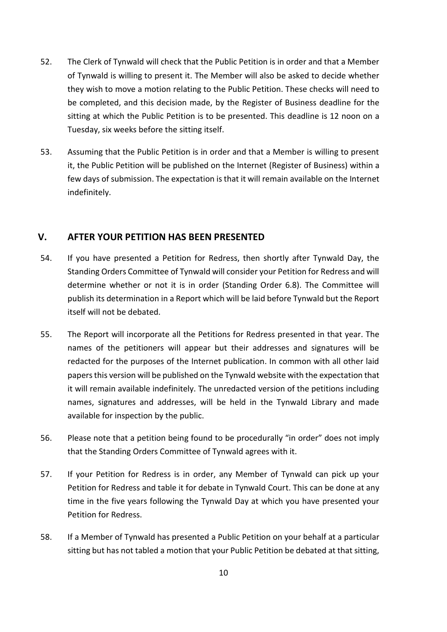- 52. The Clerk of Tynwald will check that the Public Petition is in order and that a Member of Tynwald is willing to present it. The Member will also be asked to decide whether they wish to move a motion relating to the Public Petition. These checks will need to be completed, and this decision made, by the Register of Business deadline for the sitting at which the Public Petition is to be presented. This deadline is 12 noon on a Tuesday, six weeks before the sitting itself.
- 53. Assuming that the Public Petition is in order and that a Member is willing to present it, the Public Petition will be published on the Internet (Register of Business) within a few days of submission. The expectation is that it will remain available on the Internet indefinitely.

# **V. AFTER YOUR PETITION HAS BEEN PRESENTED**

- 54. If you have presented a Petition for Redress, then shortly after Tynwald Day, the Standing Orders Committee of Tynwald will consider your Petition for Redress and will determine whether or not it is in order (Standing Order 6.8). The Committee will publish its determination in a Report which will be laid before Tynwald but the Report itself will not be debated.
- 55. The Report will incorporate all the Petitions for Redress presented in that year. The names of the petitioners will appear but their addresses and signatures will be redacted for the purposes of the Internet publication. In common with all other laid papers this version will be published on the Tynwald website with the expectation that it will remain available indefinitely. The unredacted version of the petitions including names, signatures and addresses, will be held in the Tynwald Library and made available for inspection by the public.
- 56. Please note that a petition being found to be procedurally "in order" does not imply that the Standing Orders Committee of Tynwald agrees with it.
- 57. If your Petition for Redress is in order, any Member of Tynwald can pick up your Petition for Redress and table it for debate in Tynwald Court. This can be done at any time in the five years following the Tynwald Day at which you have presented your Petition for Redress.
- 58. If a Member of Tynwald has presented a Public Petition on your behalf at a particular sitting but has not tabled a motion that your Public Petition be debated at that sitting,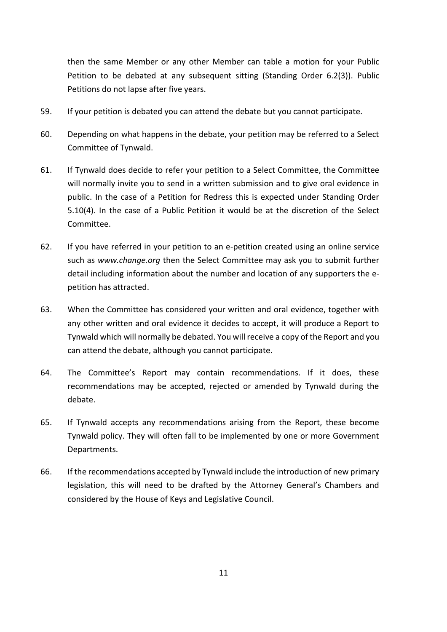then the same Member or any other Member can table a motion for your Public Petition to be debated at any subsequent sitting (Standing Order 6.2(3)). Public Petitions do not lapse after five years.

- 59. If your petition is debated you can attend the debate but you cannot participate.
- 60. Depending on what happens in the debate, your petition may be referred to a Select Committee of Tynwald.
- 61. If Tynwald does decide to refer your petition to a Select Committee, the Committee will normally invite you to send in a written submission and to give oral evidence in public. In the case of a Petition for Redress this is expected under Standing Order 5.10(4). In the case of a Public Petition it would be at the discretion of the Select Committee.
- 62. If you have referred in your petition to an e-petition created using an online service such as *www.change.org* then the Select Committee may ask you to submit further detail including information about the number and location of any supporters the epetition has attracted.
- 63. When the Committee has considered your written and oral evidence, together with any other written and oral evidence it decides to accept, it will produce a Report to Tynwald which will normally be debated. You will receive a copy of the Report and you can attend the debate, although you cannot participate.
- 64. The Committee's Report may contain recommendations. If it does, these recommendations may be accepted, rejected or amended by Tynwald during the debate.
- 65. If Tynwald accepts any recommendations arising from the Report, these become Tynwald policy. They will often fall to be implemented by one or more Government Departments.
- 66. If the recommendations accepted by Tynwald include the introduction of new primary legislation, this will need to be drafted by the Attorney General's Chambers and considered by the House of Keys and Legislative Council.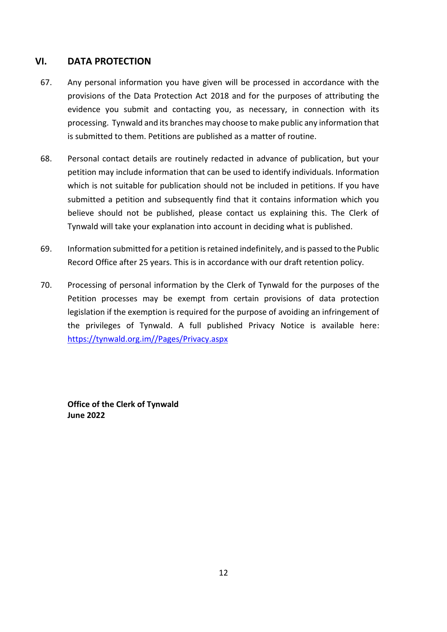# **VI. DATA PROTECTION**

- 67. Any personal information you have given will be processed in accordance with the provisions of the Data Protection Act 2018 and for the purposes of attributing the evidence you submit and contacting you, as necessary, in connection with its processing. Tynwald and its branches may choose to make public any information that is submitted to them. Petitions are published as a matter of routine.
- 68. Personal contact details are routinely redacted in advance of publication, but your petition may include information that can be used to identify individuals. Information which is not suitable for publication should not be included in petitions. If you have submitted a petition and subsequently find that it contains information which you believe should not be published, please contact us explaining this. The Clerk of Tynwald will take your explanation into account in deciding what is published.
- 69. Information submitted for a petition is retained indefinitely, and is passed to the Public Record Office after 25 years. This is in accordance with our draft retention policy.
- 70. Processing of personal information by the Clerk of Tynwald for the purposes of the Petition processes may be exempt from certain provisions of data protection legislation if the exemption is required for the purpose of avoiding an infringement of the privileges of Tynwald. A full published Privacy Notice is available here: https://tynwald.org.im//Pages/Privacy.aspx

**Office of the Clerk of Tynwald June 2022**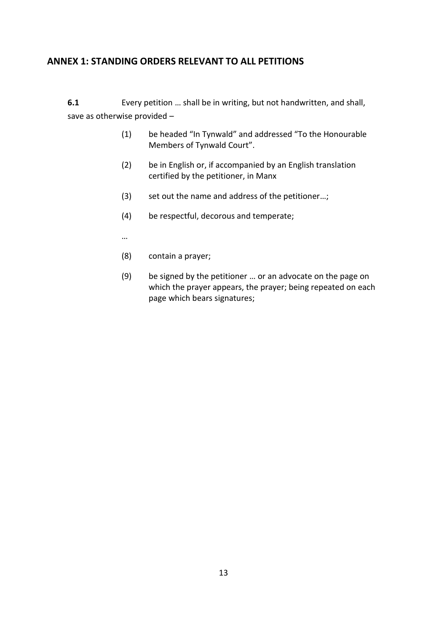# **ANNEX 1: STANDING ORDERS RELEVANT TO ALL PETITIONS**

**6.1** Every petition … shall be in writing, but not handwritten, and shall, save as otherwise provided –

- (1) be headed "In Tynwald" and addressed "To the Honourable Members of Tynwald Court".
- (2) be in English or, if accompanied by an English translation certified by the petitioner, in Manx
- (3) set out the name and address of the petitioner…;
- (4) be respectful, decorous and temperate;
- …
- (8) contain a prayer;
- (9) be signed by the petitioner … or an advocate on the page on which the prayer appears, the prayer; being repeated on each page which bears signatures;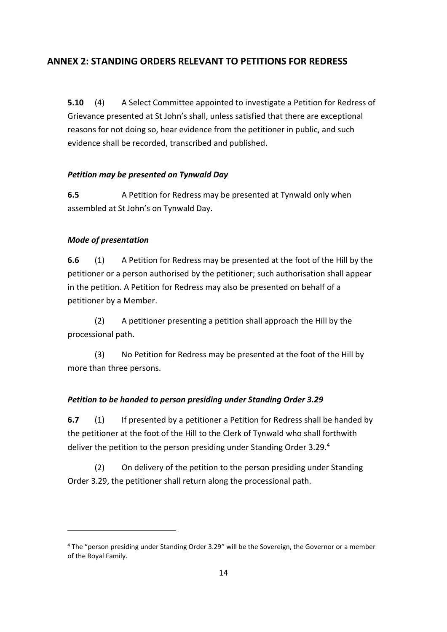# **ANNEX 2: STANDING ORDERS RELEVANT TO PETITIONS FOR REDRESS**

**5.10** (4) A Select Committee appointed to investigate a Petition for Redress of Grievance presented at St John's shall, unless satisfied that there are exceptional reasons for not doing so, hear evidence from the petitioner in public, and such evidence shall be recorded, transcribed and published.

#### *Petition may be presented on Tynwald Day*

**6.5** A Petition for Redress may be presented at Tynwald only when assembled at St John's on Tynwald Day.

#### *Mode of presentation*

-

**6.6** (1) A Petition for Redress may be presented at the foot of the Hill by the petitioner or a person authorised by the petitioner; such authorisation shall appear in the petition. A Petition for Redress may also be presented on behalf of a petitioner by a Member.

(2) A petitioner presenting a petition shall approach the Hill by the processional path.

(3) No Petition for Redress may be presented at the foot of the Hill by more than three persons.

#### *Petition to be handed to person presiding under Standing Order 3.29*

**6.7** (1) If presented by a petitioner a Petition for Redress shall be handed by the petitioner at the foot of the Hill to the Clerk of Tynwald who shall forthwith deliver the petition to the person presiding under Standing Order 3.29. 4

(2) On delivery of the petition to the person presiding under Standing Order 3.29, the petitioner shall return along the processional path.

<sup>4</sup> The "person presiding under Standing Order 3.29" will be the Sovereign, the Governor or a member of the Royal Family.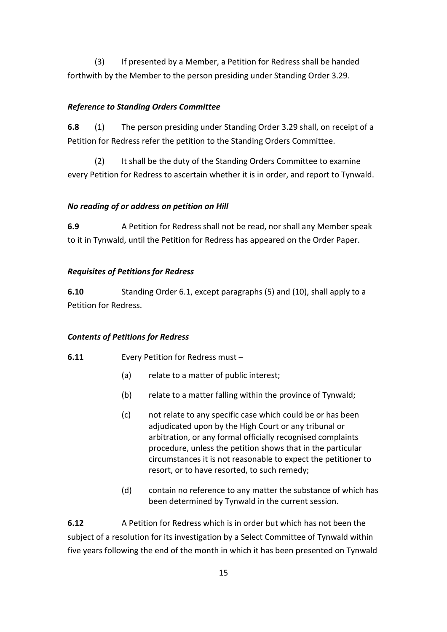(3) If presented by a Member, a Petition for Redress shall be handed forthwith by the Member to the person presiding under Standing Order 3.29.

## *Reference to Standing Orders Committee*

**6.8** (1) The person presiding under Standing Order 3.29 shall, on receipt of a Petition for Redress refer the petition to the Standing Orders Committee.

(2) It shall be the duty of the Standing Orders Committee to examine every Petition for Redress to ascertain whether it is in order, and report to Tynwald.

## *No reading of or address on petition on Hill*

**6.9** A Petition for Redress shall not be read, nor shall any Member speak to it in Tynwald, until the Petition for Redress has appeared on the Order Paper.

## *Requisites of Petitions for Redress*

**6.10** Standing Order 6.1, except paragraphs (5) and (10), shall apply to a Petition for Redress.

# *Contents of Petitions for Redress*

- **6.11** Every Petition for Redress must
	- (a) relate to a matter of public interest;
	- (b) relate to a matter falling within the province of Tynwald;
	- (c) not relate to any specific case which could be or has been adjudicated upon by the High Court or any tribunal or arbitration, or any formal officially recognised complaints procedure, unless the petition shows that in the particular circumstances it is not reasonable to expect the petitioner to resort, or to have resorted, to such remedy;
	- (d) contain no reference to any matter the substance of which has been determined by Tynwald in the current session.

**6.12** A Petition for Redress which is in order but which has not been the subject of a resolution for its investigation by a Select Committee of Tynwald within five years following the end of the month in which it has been presented on Tynwald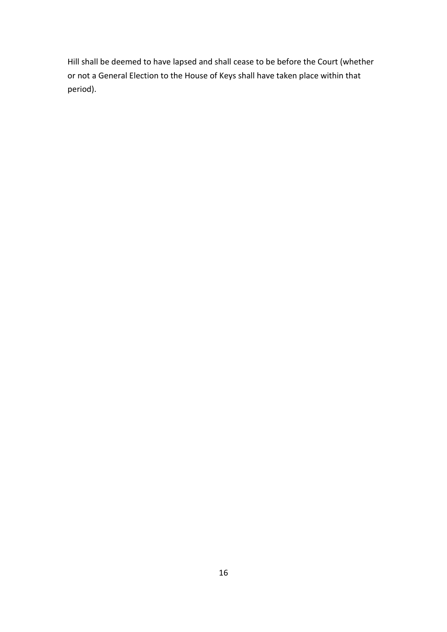Hill shall be deemed to have lapsed and shall cease to be before the Court (whether or not a General Election to the House of Keys shall have taken place within that period).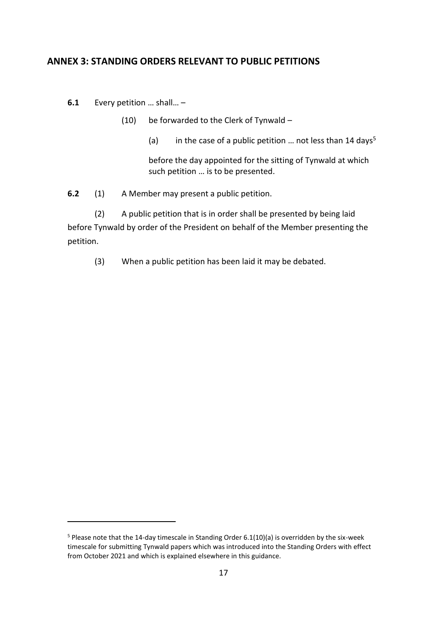# **ANNEX 3: STANDING ORDERS RELEVANT TO PUBLIC PETITIONS**

**6.1** Every petition … shall… –

-

- (10) be forwarded to the Clerk of Tynwald
	- (a) in the case of a public petition  $\ldots$  not less than 14 days<sup>5</sup>

before the day appointed for the sitting of Tynwald at which such petition … is to be presented.

**6.2** (1) A Member may present a public petition.

(2) A public petition that is in order shall be presented by being laid before Tynwald by order of the President on behalf of the Member presenting the petition.

(3) When a public petition has been laid it may be debated.

<sup>5</sup> Please note that the 14-day timescale in Standing Order 6.1(10)(a) is overridden by the six-week timescale for submitting Tynwald papers which was introduced into the Standing Orders with effect from October 2021 and which is explained elsewhere in this guidance.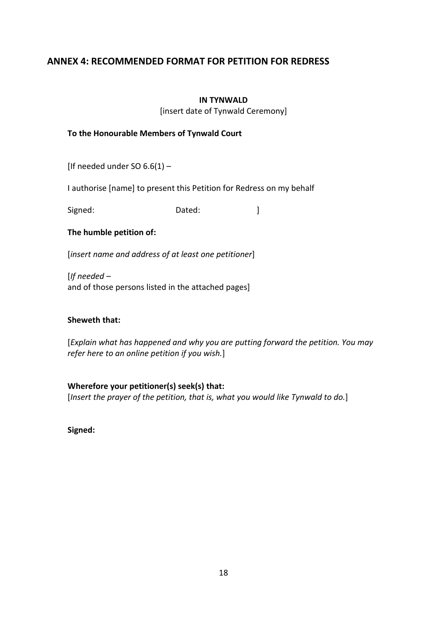# **ANNEX 4: RECOMMENDED FORMAT FOR PETITION FOR REDRESS**

#### **IN TYNWALD**

[insert date of Tynwald Ceremony]

#### **To the Honourable Members of Tynwald Court**

[If needed under SO  $6.6(1)$  -

I authorise [name] to present this Petition for Redress on my behalf

Signed: Dated: Dated: 1

#### **The humble petition of:**

[*insert name and address of at least one petitioner*]

[*If needed –* and of those persons listed in the attached pages]

#### **Sheweth that:**

[*Explain what has happened and why you are putting forward the petition. You may refer here to an online petition if you wish.*]

**Wherefore your petitioner(s) seek(s) that:** [*Insert the prayer of the petition, that is, what you would like Tynwald to do.*]

**Signed:**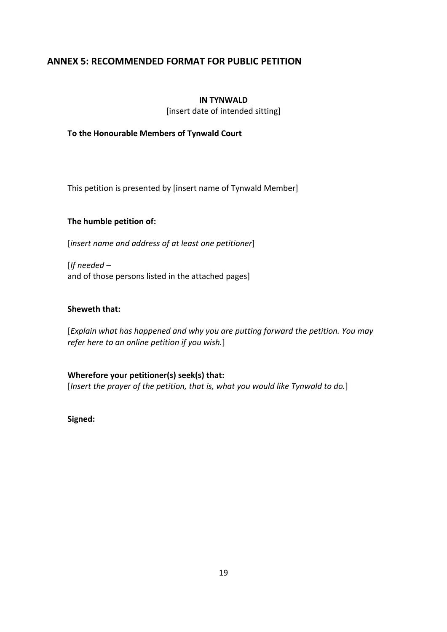# **ANNEX 5: RECOMMENDED FORMAT FOR PUBLIC PETITION**

#### **IN TYNWALD**

[insert date of intended sitting]

**To the Honourable Members of Tynwald Court**

This petition is presented by [insert name of Tynwald Member]

#### **The humble petition of:**

[*insert name and address of at least one petitioner*]

[*If needed –* and of those persons listed in the attached pages]

#### **Sheweth that:**

[*Explain what has happened and why you are putting forward the petition. You may refer here to an online petition if you wish.*]

**Wherefore your petitioner(s) seek(s) that:** [*Insert the prayer of the petition, that is, what you would like Tynwald to do.*]

**Signed:**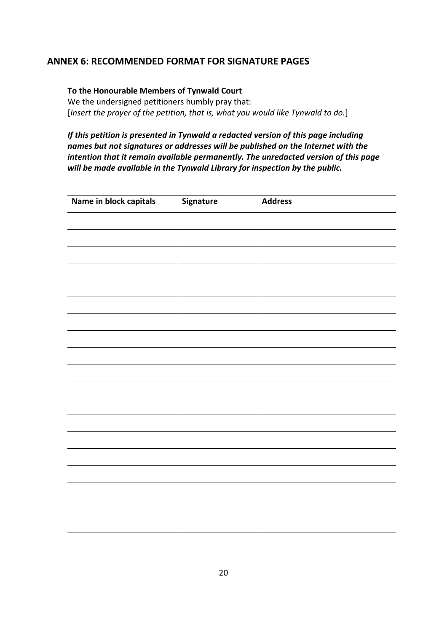# **ANNEX 6: RECOMMENDED FORMAT FOR SIGNATURE PAGES**

#### **To the Honourable Members of Tynwald Court**

We the undersigned petitioners humbly pray that: [*Insert the prayer of the petition, that is, what you would like Tynwald to do.*]

## *If this petition is presented in Tynwald a redacted version of this page including names but not signatures or addresses will be published on the Internet with the intention that it remain available permanently. The unredacted version of this page will be made available in the Tynwald Library for inspection by the public.*

| Name in block capitals | Signature | <b>Address</b> |
|------------------------|-----------|----------------|
|                        |           |                |
|                        |           |                |
|                        |           |                |
|                        |           |                |
|                        |           |                |
|                        |           |                |
|                        |           |                |
|                        |           |                |
|                        |           |                |
|                        |           |                |
|                        |           |                |
|                        |           |                |
|                        |           |                |
|                        |           |                |
|                        |           |                |
|                        |           |                |
|                        |           |                |
|                        |           |                |
|                        |           |                |
|                        |           |                |